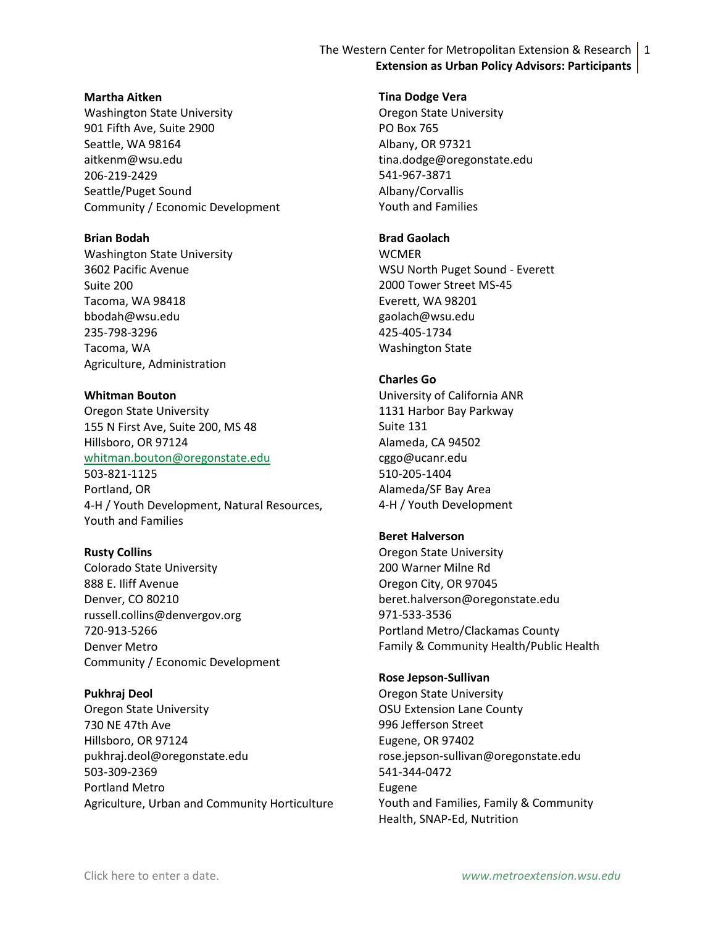The Western Center for Metropolitan Extension & Research 1 **Extension as Urban Policy Advisors: Participants**

#### **Martha Aitken**

Washington State University 901 Fifth Ave, Suite 2900 Seattle, WA 98164 aitkenm@wsu.edu 206-219-2429 Seattle/Puget Sound Community / Economic Development

### **Brian Bodah**

Washington State University 3602 Pacific Avenue Suite 200 Tacoma, WA 98418 bbodah@wsu.edu 235-798-3296 Tacoma, WA Agriculture, Administration

## **Whitman Bouton**

Oregon State University 155 N First Ave, Suite 200, MS 48 Hillsboro, OR 97124 [whitman.bouton@oregonstate.edu](mailto:whitman.bouton@oregonstate.edu) 503-821-1125 Portland, OR 4-H / Youth Development, Natural Resources, Youth and Families

## **Rusty Collins**

Colorado State University 888 E. Iliff Avenue Denver, CO 80210 russell.collins@denvergov.org 720-913-5266 Denver Metro Community / Economic Development

## **Pukhraj Deol**

Oregon State University 730 NE 47th Ave Hillsboro, OR 97124 pukhraj.deol@oregonstate.edu 503-309-2369 Portland Metro Agriculture, Urban and Community Horticulture

#### **Tina Dodge Vera**

Oregon State University PO Box 765 Albany, OR 97321 tina.dodge@oregonstate.edu 541-967-3871 Albany/Corvallis Youth and Families

# **Brad Gaolach**

**WCMER** WSU North Puget Sound - Everett 2000 Tower Street MS-45 Everett, WA 98201 gaolach@wsu.edu 425-405-1734 Washington State

#### **Charles Go**

University of California ANR 1131 Harbor Bay Parkway Suite 131 Alameda, CA 94502 cggo@ucanr.edu 510-205-1404 Alameda/SF Bay Area 4-H / Youth Development

## **Beret Halverson**

Oregon State University 200 Warner Milne Rd Oregon City, OR 97045 beret.halverson@oregonstate.edu 971-533-3536 Portland Metro/Clackamas County Family & Community Health/Public Health

#### **Rose Jepson-Sullivan**

Oregon State University OSU Extension Lane County 996 Jefferson Street Eugene, OR 97402 rose.jepson-sullivan@oregonstate.edu 541-344-0472 Eugene Youth and Families, Family & Community Health, SNAP-Ed, Nutrition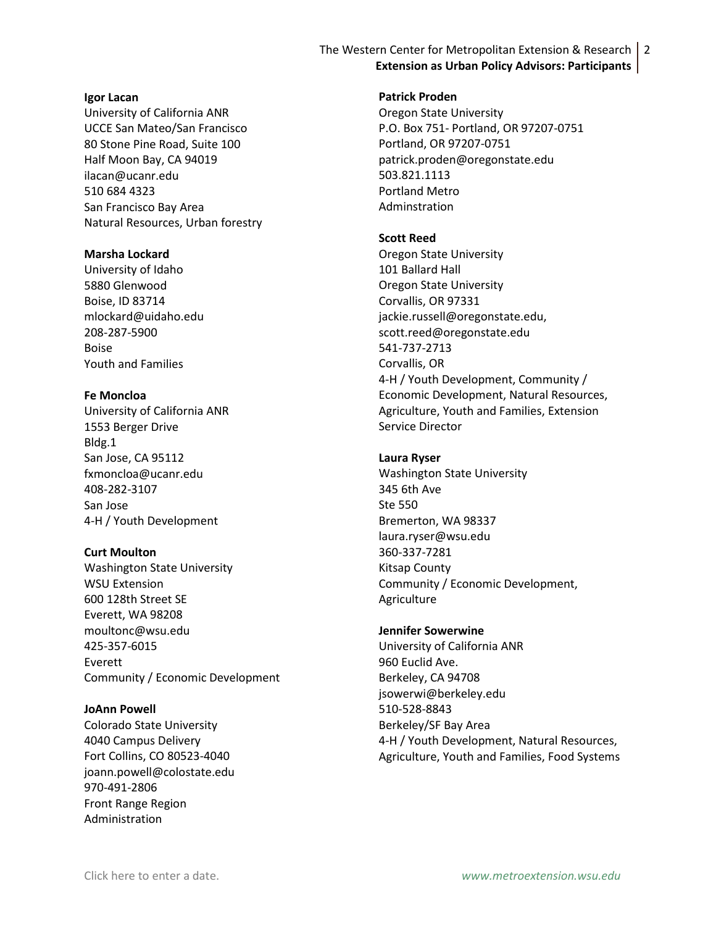# The Western Center for Metropolitan Extension & Research 2 **Extension as Urban Policy Advisors: Participants**

### **Igor Lacan**

University of California ANR UCCE San Mateo/San Francisco 80 Stone Pine Road, Suite 100 Half Moon Bay, CA 94019 ilacan@ucanr.edu 510 684 4323 San Francisco Bay Area Natural Resources, Urban forestry

## **Marsha Lockard**

University of Idaho 5880 Glenwood Boise, ID 83714 mlockard@uidaho.edu 208-287-5900 Boise Youth and Families

## **Fe Moncloa**

University of California ANR 1553 Berger Drive Bldg.1 San Jose, CA 95112 fxmoncloa@ucanr.edu 408-282-3107 San Jose 4-H / Youth Development

# **Curt Moulton**

Washington State University WSU Extension 600 128th Street SE Everett, WA 98208 moultonc@wsu.edu 425-357-6015 Everett Community / Economic Development

## **JoAnn Powell**

Colorado State University 4040 Campus Delivery Fort Collins, CO 80523-4040 joann.powell@colostate.edu 970-491-2806 Front Range Region Administration

**Patrick Proden**

Oregon State University P.O. Box 751- Portland, OR 97207-0751 Portland, OR 97207-0751 patrick.proden@oregonstate.edu 503.821.1113 Portland Metro Adminstration

# **Scott Reed**

Oregon State University 101 Ballard Hall Oregon State University Corvallis, OR 97331 jackie.russell@oregonstate.edu, scott.reed@oregonstate.edu 541-737-2713 Corvallis, OR 4-H / Youth Development, Community / Economic Development, Natural Resources, Agriculture, Youth and Families, Extension Service Director

## **Laura Ryser**

Washington State University 345 6th Ave Ste 550 Bremerton, WA 98337 laura.ryser@wsu.edu 360-337-7281 Kitsap County Community / Economic Development, Agriculture

## **Jennifer Sowerwine**

University of California ANR 960 Euclid Ave. Berkeley, CA 94708 jsowerwi@berkeley.edu 510-528-8843 Berkeley/SF Bay Area 4-H / Youth Development, Natural Resources, Agriculture, Youth and Families, Food Systems